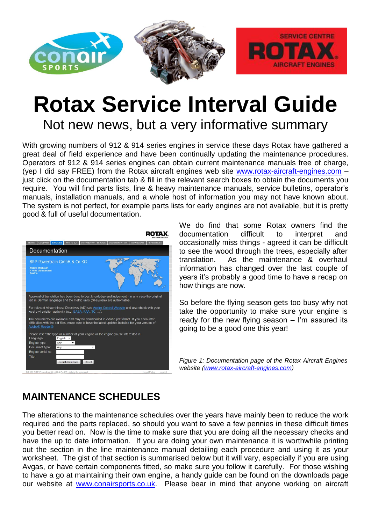

# **Rotax Service Interval Guide**

Not new news, but a very informative summary

With growing numbers of 912 & 914 series engines in service these days Rotax have gathered a great deal of field experience and have been continually updating the maintenance procedures. Operators of 912 & 914 series engines can obtain current maintenance manuals free of charge, (yep I did say FREE) from the Rotax aircraft engines web site [www.rotax-aircraft-engines.com](http://www.rotax-aircraft-engines.com/) just click on the documentation tab & fill in the relevant search boxes to obtain the documents you require. You will find parts lists, line & heavy maintenance manuals, service bulletins, operator's manuals, installation manuals, and a whole host of information you may not have known about. The system is not perfect, for example parts lists for early engines are not available, but it is pretty good & full of useful documentation.



We do find that some Rotax owners find the documentation difficult to interpret and occasionally miss things - agreed it can be difficult to see the wood through the trees, especially after translation. As the maintenance & overhaul information has changed over the last couple of years it's probably a good time to have a recap on how things are now.

So before the flying season gets too busy why not take the opportunity to make sure your engine is ready for the new flying season – I'm assured its going to be a good one this year!

*Figure 1: Documentation page of the Rotax Aircraft Engines website [\(www.rotax-aircraft-engines.com\)](http://www.rotax-aircraft-engines.com/)* 

### **MAINTENANCE SCHEDULES**

The alterations to the maintenance schedules over the years have mainly been to reduce the work required and the parts replaced, so should you want to save a few pennies in these difficult times you better read on. Now is the time to make sure that you are doing all the necessary checks and have the up to date information. If you are doing your own maintenance it is worthwhile printing out the section in the line maintenance manual detailing each procedure and using it as your worksheet. The gist of that section is summarised below but it will vary, especially if you are using Avgas, or have certain components fitted, so make sure you follow it carefully. For those wishing to have a go at maintaining their own engine, a handy guide can be found on the downloads page our website at [www.conairsports.co.uk.](http://www.conairsports.co.uk/) Please bear in mind that anyone working on aircraft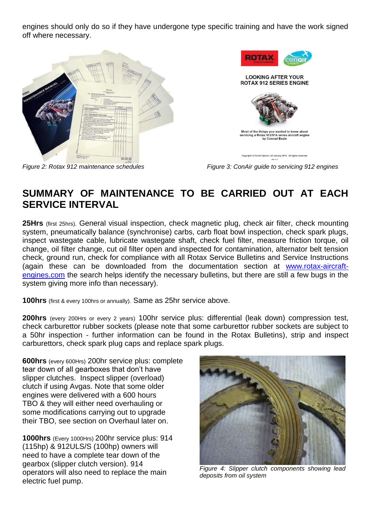engines should only do so if they have undergone type specific training and have the work signed off where necessary.





*Figure 2: Rotax 912 maintenance schedules Figure 3: ConAir guide to servicing 912 engines*

## **SUMMARY OF MAINTENANCE TO BE CARRIED OUT AT EACH SERVICE INTERVAL**

**25Hrs** (first 25hrs). General visual inspection, check magnetic plug, check air filter, check mounting system, pneumatically balance (synchronise) carbs, carb float bowl inspection, check spark plugs, inspect wastegate cable, lubricate wastegate shaft, check fuel filter, measure friction torque, oil change, oil filter change, cut oil filter open and inspected for contamination, alternator belt tension check, ground run, check for compliance with all Rotax Service Bulletins and Service Instructions (again these can be downloaded from the documentation section at [www.rotax-aircraft](http://www.rotax-aircraft-engines.com/)[engines.com](http://www.rotax-aircraft-engines.com/) the search helps identify the necessary bulletins, but there are still a few bugs in the system giving more info than necessary).

**100hrs** (first & every 100hrs or annually). Same as 25hr service above.

**200hrs** (every 200Hrs or every 2 years) 100hr service plus: differential (leak down) compression test, check carburettor rubber sockets (please note that some carburettor rubber sockets are subject to a 50hr inspection - further information can be found in the Rotax Bulletins), strip and inspect carburettors, check spark plug caps and replace spark plugs.

**600hrs** (every 600Hrs) 200hr service plus: complete tear down of all gearboxes that don't have slipper clutches. Inspect slipper (overload) clutch if using Avgas. Note that some older engines were delivered with a 600 hours TBO & they will either need overhauling or some modifications carrying out to upgrade their TBO, see section on Overhaul later on.

**1000hrs** (Every 1000Hrs) 200hr service plus: 914 (115hp) & 912ULS/S (100hp) owners will need to have a complete tear down of the gearbox (slipper clutch version). 914 operators will also need to replace the main electric fuel pump.



*Figure 4: Slipper clutch components showing lead deposits from oil system*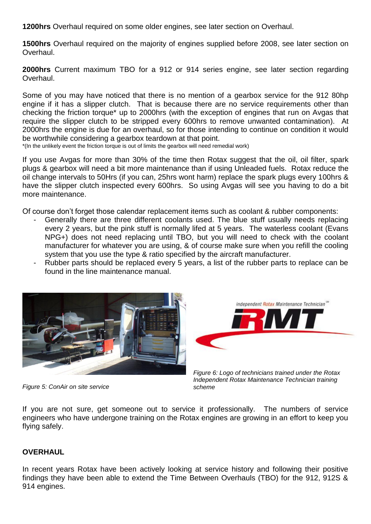**1200hrs** Overhaul required on some older engines, see later section on Overhaul.

**1500hrs** Overhaul required on the majority of engines supplied before 2008, see later section on Overhaul.

**2000hrs** Current maximum TBO for a 912 or 914 series engine, see later section regarding Overhaul.

Some of you may have noticed that there is no mention of a gearbox service for the 912 80hp engine if it has a slipper clutch. That is because there are no service requirements other than checking the friction torque\* up to 2000hrs (with the exception of engines that run on Avgas that require the slipper clutch to be stripped every 600hrs to remove unwanted contamination). At 2000hrs the engine is due for an overhaul, so for those intending to continue on condition it would be worthwhile considering a gearbox teardown at that point.

\*(In the unlikely event the friction torque is out of limits the gearbox will need remedial work)

If you use Avgas for more than 30% of the time then Rotax suggest that the oil, oil filter, spark plugs & gearbox will need a bit more maintenance than if using Unleaded fuels. Rotax reduce the oil change intervals to 50Hrs (if you can, 25hrs wont harm) replace the spark plugs every 100hrs & have the slipper clutch inspected every 600hrs. So using Avgas will see you having to do a bit more maintenance.

Of course don't forget those calendar replacement items such as coolant & rubber components:

- Generally there are three different coolants used. The blue stuff usually needs replacing every 2 years, but the pink stuff is normally lifed at 5 years. The waterless coolant (Evans NPG+) does not need replacing until TBO, but you will need to check with the coolant manufacturer for whatever you are using, & of course make sure when you refill the cooling system that you use the type & ratio specified by the aircraft manufacturer.
- Rubber parts should be replaced every 5 years, a list of the rubber parts to replace can be found in the line maintenance manual.





*Figure 6: Logo of technicians trained under the Rotax Independent Rotax Maintenance Technician training scheme*

If you are not sure, get someone out to service it professionally. The numbers of service engineers who have undergone training on the Rotax engines are growing in an effort to keep you flying safely.

#### **OVERHAUL**

In recent years Rotax have been actively looking at service history and following their positive findings they have been able to extend the Time Between Overhauls (TBO) for the 912, 912S & 914 engines.

*Figure 5: ConAir on site service*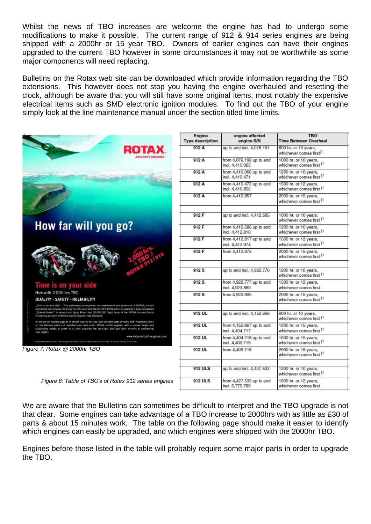Whilst the news of TBO increases are welcome the engine has had to undergo some modifications to make it possible. The current range of 912 & 914 series engines are being shipped with a 2000hr or 15 year TBO. Owners of earlier engines can have their engines upgraded to the current TBO however in some circumstances it may not be worthwhile as some major components will need replacing.

Bulletins on the Rotax web site can be downloaded which provide information regarding the TBO extensions. This however does not stop you having the engine overhauled and resetting the clock, although be aware that you will still have some original items, most notably the expensive electrical items such as SMD electronic ignition modules. To find out the TBO of your engine simply look at the line maintenance manual under the section titled time limits.



| Engine                  | engine affected                               | <b>TBO</b>                                                   |
|-------------------------|-----------------------------------------------|--------------------------------------------------------------|
| <b>Type description</b> | engine S/N                                    | <b>Time Between Overhaul</b>                                 |
| 912A                    | up to and incl. 4,076,191                     | 600 hr. or 10 years,<br>whichever comes first <sup>(1</sup>  |
| 912 A                   | from 4,076.192 up to and<br>incl. 4,410.065   | 1000 hr. or 10 years,<br>whichever comes first (1            |
| 912 A                   | from $4,410.066$ up to and<br>incl. 4.410.471 | 1200 hr. or 10 years,<br>whichever comes first (1            |
| 912 A                   | from 4,410.472 up to and<br>incl. 4,410.856   | 1500 hr. or 12 years.<br>whichever comes first <sup>(1</sup> |
| 912 A                   | from 4.410.857                                | 2000 hr. or 15 years.<br>whichever comes first (1            |
| 912 F                   | up to and incl. 4.412.585                     | 1000 hr. or 10 years,<br>whichever comes first (1            |
| 912 F                   | from 4,412.586 up to and<br>incl. 4.412.816   | 1200 hr. or 10 years,<br>whichever comes first (1            |
| 912F                    | from 4,412.817 up to and<br>incl. 4,412.974   | 1500 hr. or 12 years,<br>whichever comes first (1            |
| 912 F                   | from 4.412.975                                | 2000 hr. or 15 years,<br>whichever comes first (1            |
|                         |                                               |                                                              |
| 912S                    | up to and incl. 4,922,776                     | 1200 hr. or 10 years,<br>whichever comes first (1            |
| 912S                    | from 4,922.777 up to and<br>incl. 4,923.889   | 1500 hr. or 12 years,<br>whichever comes first               |
| 912 S                   | from 4,923.890                                | 2000 hr. or 15 years,<br>whichever comes first (1            |
|                         |                                               |                                                              |
| 912 UL                  | up to and incl. 4,152,666                     | 600 hr. or 10 years,<br>whichever comes first (1             |
| 912 UL                  | from 4,152.667 up to and<br>incl. 4,404.717   | 1200 hr. or 15 years,<br>whichever comes first (1            |
| 912 UL                  | from 4,404.718 up to and<br>incl. 4,409.715   | 1500 hr. or 15 years.<br>whichever comes first (1            |
| 912 UL                  | from 4,409.716                                | 2000 hr. or 15 years,<br>whichever comes first (1            |
|                         |                                               |                                                              |
| <b>912 ULS</b>          | up to and incl. 4,427.532                     | 1200 hr. or 10 years,<br>whichever comes first <sup>(1</sup> |
| 912 ULS                 | from 4,427.533 up to and<br>incl. 6.775.789   | 1500 hr. or 12 years,<br>whichever comes first               |

 *Figure 8: Table of TBO's of Rotax 912 series engines*

We are aware that the Bulletins can sometimes be difficult to interpret and the TBO upgrade is not that clear. Some engines can take advantage of a TBO increase to 2000hrs with as little as £30 of parts & about 15 minutes work. The table on the following page should make it easier to identify which engines can easily be upgraded, and which engines were shipped with the 2000hr TBO.

Engines before those listed in the table will probably require some major parts in order to upgrade the TBO.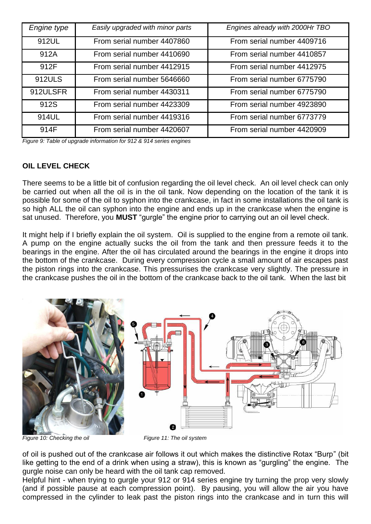| Engine type | Easily upgraded with minor parts | Engines already with 2000Hr TBO |
|-------------|----------------------------------|---------------------------------|
| 912UL       | From serial number 4407860       | From serial number 4409716      |
| 912A        | From serial number 4410690       | From serial number 4410857      |
| 912F        | From serial number 4412915       | From serial number 4412975      |
| 912ULS      | From serial number 5646660       | From serial number 6775790      |
| 912ULSFR    | From serial number 4430311       | From serial number 6775790      |
| 912S        | From serial number 4423309       | From serial number 4923890      |
| 914UL       | From serial number 4419316       | From serial number 6773779      |
| 914F        | From serial number 4420607       | From serial number 4420909      |

*Figure 9: Table of upgrade information for 912 & 914 series engines*

#### **OIL LEVEL CHECK**

There seems to be a little bit of confusion regarding the oil level check. An oil level check can only be carried out when all the oil is in the oil tank. Now depending on the location of the tank it is possible for some of the oil to syphon into the crankcase, in fact in some installations the oil tank is so high ALL the oil can syphon into the engine and ends up in the crankcase when the engine is sat unused. Therefore, you **MUST** "gurgle" the engine prior to carrying out an oil level check.

It might help if I briefly explain the oil system. Oil is supplied to the engine from a remote oil tank. A pump on the engine actually sucks the oil from the tank and then pressure feeds it to the bearings in the engine. After the oil has circulated around the bearings in the engine it drops into the bottom of the crankcase. During every compression cycle a small amount of air escapes past the piston rings into the crankcase. This pressurises the crankcase very slightly. The pressure in the crankcase pushes the oil in the bottom of the crankcase back to the oil tank. When the last bit



*Figure 10: Checking the oil* Figure 11: The oil system

of oil is pushed out of the crankcase air follows it out which makes the distinctive Rotax "Burp" (bit like getting to the end of a drink when using a straw), this is known as "gurgling" the engine. The gurgle noise can only be heard with the oil tank cap removed.

Helpful hint - when trying to gurgle your 912 or 914 series engine try turning the prop very slowly (and if possible pause at each compression point). By pausing, you will allow the air you have compressed in the cylinder to leak past the piston rings into the crankcase and in turn this will